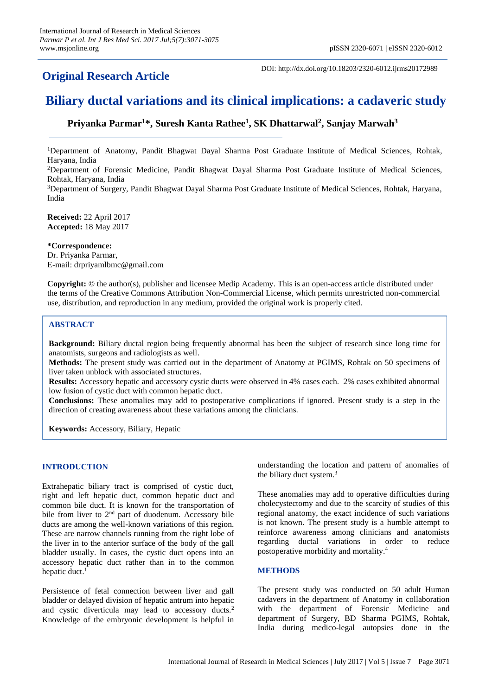## **Original Research Article**

DOI: http://dx.doi.org/10.18203/2320-6012.ijrms20172989

# **Biliary ductal variations and its clinical implications: a cadaveric study**

### **Priyanka Parmar<sup>1</sup>\*, Suresh Kanta Rathee<sup>1</sup> , SK Dhattarwal<sup>2</sup> , Sanjay Marwah<sup>3</sup>**

<sup>1</sup>Department of Anatomy, Pandit Bhagwat Dayal Sharma Post Graduate Institute of Medical Sciences, Rohtak, Haryana, India

<sup>2</sup>Department of Forensic Medicine, Pandit Bhagwat Dayal Sharma Post Graduate Institute of Medical Sciences, Rohtak, Haryana, India

<sup>3</sup>Department of Surgery, Pandit Bhagwat Dayal Sharma Post Graduate Institute of Medical Sciences, Rohtak, Haryana, India

**Received:** 22 April 2017 **Accepted:** 18 May 2017

#### **\*Correspondence:**

Dr. Priyanka Parmar, E-mail: drpriyamlbmc@gmail.com

**Copyright:** © the author(s), publisher and licensee Medip Academy. This is an open-access article distributed under the terms of the Creative Commons Attribution Non-Commercial License, which permits unrestricted non-commercial use, distribution, and reproduction in any medium, provided the original work is properly cited.

#### **ABSTRACT**

**Background:** Biliary ductal region being frequently abnormal has been the subject of research since long time for anatomists, surgeons and radiologists as well.

**Methods:** The present study was carried out in the department of Anatomy at PGIMS, Rohtak on 50 specimens of liver taken unblock with associated structures.

**Results:** Accessory hepatic and accessory cystic ducts were observed in 4% cases each. 2% cases exhibited abnormal low fusion of cystic duct with common hepatic duct.

**Conclusions:** These anomalies may add to postoperative complications if ignored. Present study is a step in the direction of creating awareness about these variations among the clinicians.

**Keywords:** Accessory, Biliary, Hepatic

#### **INTRODUCTION**

Extrahepatic biliary tract is comprised of cystic duct, right and left hepatic duct, common hepatic duct and common bile duct. It is known for the transportation of bile from liver to 2<sup>nd</sup> part of duodenum. Accessory bile ducts are among the well-known variations of this region. These are narrow channels running from the right lobe of the liver in to the anterior surface of the body of the gall bladder usually. In cases, the cystic duct opens into an accessory hepatic duct rather than in to the common hepatic duct. 1

Persistence of fetal connection between liver and gall bladder or delayed division of hepatic antrum into hepatic and cystic diverticula may lead to accessory ducts.<sup>2</sup> Knowledge of the embryonic development is helpful in understanding the location and pattern of anomalies of the biliary duct system. 3

These anomalies may add to operative difficulties during cholecystectomy and due to the scarcity of studies of this regional anatomy, the exact incidence of such variations is not known. The present study is a humble attempt to reinforce awareness among clinicians and anatomists regarding ductal variations in order to reduce postoperative morbidity and mortality. 4

#### **METHODS**

The present study was conducted on 50 adult Human cadavers in the department of Anatomy in collaboration with the department of Forensic Medicine and department of Surgery, BD Sharma PGIMS, Rohtak, India during medico-legal autopsies done in the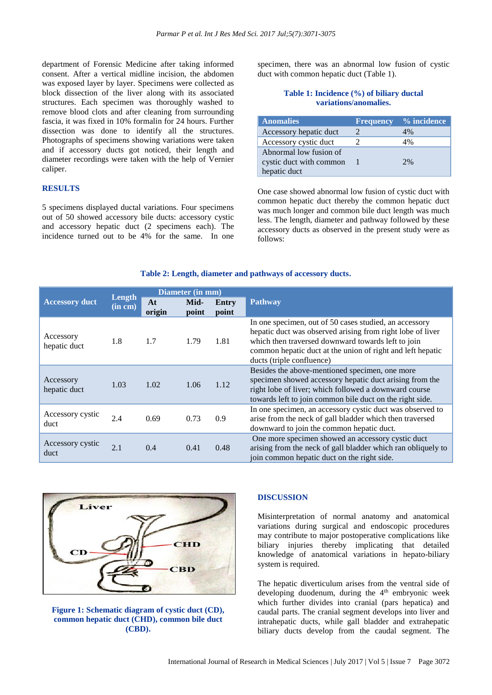department of Forensic Medicine after taking informed consent. After a vertical midline incision, the abdomen was exposed layer by layer. Specimens were collected as block dissection of the liver along with its associated structures. Each specimen was thoroughly washed to remove blood clots and after cleaning from surrounding fascia, it was fixed in 10% formalin for 24 hours. Further dissection was done to identify all the structures. Photographs of specimens showing variations were taken and if accessory ducts got noticed, their length and diameter recordings were taken with the help of Vernier caliper.

#### **RESULTS**

5 specimens displayed ductal variations. Four specimens out of 50 showed accessory bile ducts: accessory cystic and accessory hepatic duct (2 specimens each). The incidence turned out to be 4% for the same. In one

specimen, there was an abnormal low fusion of cystic duct with common hepatic duct (Table 1).

#### **Table 1: Incidence (%) of biliary ductal variations/anomalies.**

| <b>Anomalies</b>                                                  | <b>Frequency</b> | % incidence |
|-------------------------------------------------------------------|------------------|-------------|
| Accessory hepatic duct                                            |                  | $4\%$       |
| Accessory cystic duct                                             |                  | 4%          |
| Abnormal low fusion of<br>cystic duct with common<br>hepatic duct |                  | 2%          |

One case showed abnormal low fusion of cystic duct with common hepatic duct thereby the common hepatic duct was much longer and common bile duct length was much less. The length, diameter and pathway followed by these accessory ducts as observed in the present study were as follows:

#### **Table 2: Length, diameter and pathways of accessory ducts.**

| Diameter (in mm)          |                   |              |               |                |                                                                                                                                                                                                                                                                       |
|---------------------------|-------------------|--------------|---------------|----------------|-----------------------------------------------------------------------------------------------------------------------------------------------------------------------------------------------------------------------------------------------------------------------|
| <b>Accessory duct</b>     | Length<br>(in cm) | At<br>origin | Mid-<br>point | Entry<br>point | <b>Pathway</b>                                                                                                                                                                                                                                                        |
| Accessory<br>hepatic duct | 1.8               | 1.7          | 1.79          | 1.81           | In one specimen, out of 50 cases studied, an accessory<br>hepatic duct was observed arising from right lobe of liver<br>which then traversed downward towards left to join<br>common hepatic duct at the union of right and left hepatic<br>ducts (triple confluence) |
| Accessory<br>hepatic duct | 1.03              | 1.02         | 1.06          | 1.12           | Besides the above-mentioned specimen, one more<br>specimen showed accessory hepatic duct arising from the<br>right lobe of liver; which followed a downward course<br>towards left to join common bile duct on the right side.                                        |
| Accessory cystic<br>duct  | 2.4               | 0.69         | 0.73          | 0.9            | In one specimen, an accessory cystic duct was observed to<br>arise from the neck of gall bladder which then traversed<br>downward to join the common hepatic duct.                                                                                                    |
| Accessory cystic<br>duct  | 2.1               | 0.4          | 0.41          | 0.48           | One more specimen showed an accessory cystic duct<br>arising from the neck of gall bladder which ran obliquely to<br>join common hepatic duct on the right side.                                                                                                      |



**Figure 1: Schematic diagram of cystic duct (CD), common hepatic duct (CHD), common bile duct (CBD).**

#### **DISCUSSION**

Misinterpretation of normal anatomy and anatomical variations during surgical and endoscopic procedures may contribute to major postoperative complications like biliary injuries thereby implicating that detailed knowledge of anatomical variations in hepato-biliary system is required.

The hepatic diverticulum arises from the ventral side of developing duodenum, during the 4<sup>th</sup> embryonic week which further divides into cranial (pars hepatica) and caudal parts. The cranial segment develops into liver and intrahepatic ducts, while gall bladder and extrahepatic biliary ducts develop from the caudal segment. The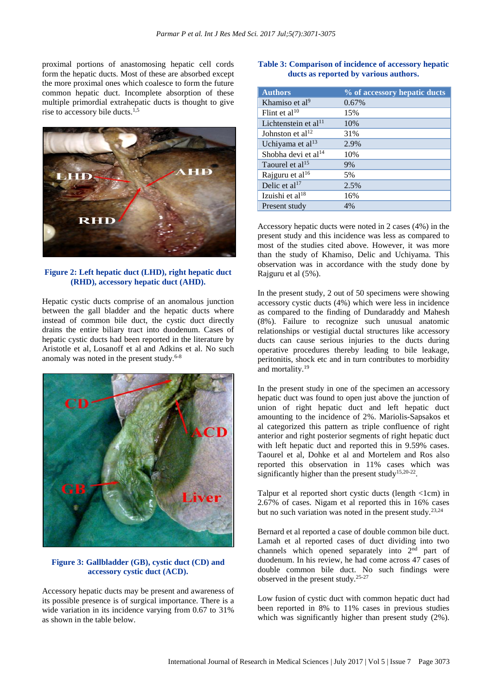proximal portions of anastomosing hepatic cell cords form the hepatic ducts. Most of these are absorbed except the more proximal ones which coalesce to form the future common hepatic duct. Incomplete absorption of these multiple primordial extrahepatic ducts is thought to give rise to accessory bile ducts. 1,5



#### **Figure 2: Left hepatic duct (LHD), right hepatic duct (RHD), accessory hepatic duct (AHD).**

Hepatic cystic ducts comprise of an anomalous junction between the gall bladder and the hepatic ducts where instead of common bile duct, the cystic duct directly drains the entire biliary tract into duodenum. Cases of hepatic cystic ducts had been reported in the literature by Aristotle et al, Losanoff et al and Adkins et al. No such anomaly was noted in the present study. $6-8$ 



#### **Figure 3: Gallbladder (GB), cystic duct (CD) and accessory cystic duct (ACD).**

Accessory hepatic ducts may be present and awareness of its possible presence is of surgical importance. There is a wide variation in its incidence varying from 0.67 to 31% as shown in the table below.

#### **Table 3: Comparison of incidence of accessory hepatic ducts as reported by various authors.**

| <b>Authors</b>                   | % of accessory hepatic ducts |
|----------------------------------|------------------------------|
| Khamiso et al <sup>9</sup>       | 0.67%                        |
| Flint et al <sup>10</sup>        | 15%                          |
| Lichtenstein et al <sup>11</sup> | 10%                          |
| Johnston et al <sup>12</sup>     | 31%                          |
| Uchiyama et al <sup>13</sup>     | 2.9%                         |
| Shobha devi et al <sup>14</sup>  | 10%                          |
| Taourel et al <sup>15</sup>      | 9%                           |
| Rajguru et al <sup>16</sup>      | 5%                           |
| Delic et al <sup>17</sup>        | 2.5%                         |
| Izuishi et al $18$               | 16%                          |
| Present study                    | $4\%$                        |

Accessory hepatic ducts were noted in 2 cases (4%) in the present study and this incidence was less as compared to most of the studies cited above. However, it was more than the study of Khamiso, Delic and Uchiyama. This observation was in accordance with the study done by Rajguru et al (5%).

In the present study, 2 out of 50 specimens were showing accessory cystic ducts (4%) which were less in incidence as compared to the finding of Dundaraddy and Mahesh (8%). Failure to recognize such unusual anatomic relationships or vestigial ductal structures like accessory ducts can cause serious injuries to the ducts during operative procedures thereby leading to bile leakage, peritonitis, shock etc and in turn contributes to morbidity and mortality.<sup>19</sup>

In the present study in one of the specimen an accessory hepatic duct was found to open just above the junction of union of right hepatic duct and left hepatic duct amounting to the incidence of 2%. Mariolis-Sapsakos et al categorized this pattern as triple confluence of right anterior and right posterior segments of right hepatic duct with left hepatic duct and reported this in 9.59% cases. Taourel et al, Dohke et al and Mortelem and Ros also reported this observation in 11% cases which was significantly higher than the present study<sup>15,20-22</sup>.

Talpur et al reported short cystic ducts (length <1cm) in 2.67% of cases. Nigam et al reported this in 16% cases but no such variation was noted in the present study.<sup>23,24</sup>

Bernard et al reported a case of double common bile duct. Lamah et al reported cases of duct dividing into two channels which opened separately into 2<sup>nd</sup> part of duodenum. In his review, he had come across 47 cases of double common bile duct. No such findings were observed in the present study.25-27

Low fusion of cystic duct with common hepatic duct had been reported in 8% to 11% cases in previous studies which was significantly higher than present study (2%).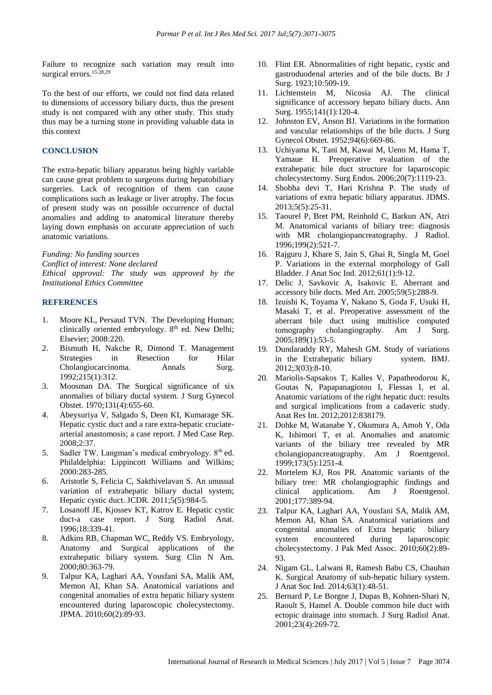Failure to recognize such variation may result into surgical errors.<sup>15.28,29</sup>

To the best of our efforts, we could not find data related to dimensions of accessory biliary ducts, thus the present study is not compared with any other study. This study thus may be a turning stone in providing valuable data in this context

#### **CONCLUSION**

The extra-hepatic biliary apparatus being highly variable can cause great problem to surgeons during hepatobiliary surgeries. Lack of recognition of them can cause complications such as leakage or liver atrophy. The focus of present study was on possible occurrence of ductal anomalies and adding to anatomical literature thereby laying down emphasis on accurate appreciation of such anatomic variations.

*Funding: No funding sources*

*Conflict of interest: None declared*

*Ethical approval: The study was approved by the Institutional Ethics Committee*

#### **REFERENCES**

- 1. Moore KL, Persaud TVN. The Developing Human; clinically oriented embryology.  $8<sup>th</sup>$  ed. New Delhi; Elsevier; 2008:220.
- 2. Bismuth H, Nakche R, Dimond T. Management Strategies in Resection for Hilar Cholangiocarcinoma. Annals Surg. 1992;215(1):312.
- 3. Moosman DA. The Surgical significance of six anomalies of biliary ductal system. J Surg Gynecol Obstet. 1970;131(4):655-60.
- 4. Abeysuriya V, Salgado S, Deen KI, Kumarage SK. Hepatic cystic duct and a rare extra-hepatic cruciatearterial anastomosis; a case report. J Med Case Rep. 2008;2:37.
- 5. Sadler TW. Langman's medical embryology. 8th ed. Philaldelphia: Lippincott Williams and Wilkins; 2000:283-285.
- 6. Aristotle S, Felicia C, Sakthivelavan S. An unusual variation of extrahepatic biliary ductal system; Hepatic cystic duct. JCDR. 2011;5(5):984-5.
- 7. Losanoff JE, Kjossev KT, Katrov E. Hepatic cystic duct-a case report. J Surg Radiol Anat. 1996;18:339-41.
- 8. Adkins RB, Chapman WC, Reddy VS. Embryology, Anatomy and Surgical applications of the extrahepatic biliary system. Surg Clin N Am. 2000;80:363-79.
- 9. Talpur KA, Laghari AA, Yousfani SA, Malik AM, Memon AI, Khan SA. Anatomical variations and congenital anomalies of extra hepatic biliary system encountered during laparoscopic cholecystectomy. JPMA. 2010;60(2):89-93.
- 10. Flint ER. Abnormalities of right hepatic, cystic and gastroduodenal arteries and of the bile ducts. Br J Surg. 1923;10:509-19.
- 11. Lichtenstein M, Nicosia AJ. The clinical significance of accessory hepato biliary ducts. Ann Surg. 1955;141(1):120-4.
- 12. Johnston EV, Anson BJ. Variations in the formation and vascular relationships of the bile ducts. J Surg Gynecol Obstet. 1952;94(6):669-86.
- 13. Uchiyama K, Tani M, Kawai M, Ueno M, Hama T, Yamaue H. Preoperative evaluation of the extrahepatic bile duct structure for laparoscopic cholecystectomy. Surg Endos. 2006;20(7):1119-23.
- 14. Shobha devi T, Hari Krishna P. The study of variations of extra hepatic biliary apparatus. JDMS. 2013;5(5):25-31.
- 15. Taourel P, Bret PM, Reinhold C, Barkun AN, Atri M. Anatomical variants of biliary tree: diagnosis with MR cholangiopancreatography. J Radiol. 1996;199(2):521-7.
- 16. Rajguru J, Khare S, Jain S, Ghai R, Singla M, Goel P. Variations in the external morphology of Gall Bladder. J Anat Soc Ind. 2012;61(1):9-12.
- 17. Delic J, Savkovic A, Isakovic E. Aberrant and accessory bile ducts. Med Art. 2005;59(5):288-9.
- 18. Izuishi K, Toyama Y, Nakano S, Goda F, Usuki H, Masaki T, et al. Preoperative assessment of the aberrant bile duct using multislice computed tomography cholangiography. Am J Surg. 2005;189(1):53-5.
- 19. Dundaraddy RY, Mahesh GM. Study of variations in the Extrahepatic biliary system. BMJ. 2012;3(03):8-10.
- 20. Mariolis-Sapsakos T, Kalles V, Papatheodorou K, Goutas N, Papapanagiotou I, Flessas I, et al. Anatomic variations of the right hepatic duct: results and surgical implications from a cadaveric study. Anat Res Int. 2012;2012:838179.
- 21. Dohke M, Watanabe Y, Okumura A, Amoh Y, Oda K, Ishimori T, et al. Anomalies and anatomic variants of the biliary tree revealed by MR cholangiopancreatography. Am J Roentgenol. 1999;173(5):1251-4.
- 22. Mortelem KJ, Ros PR. Anatomic variants of the biliary tree: MR cholangiographic findings and clinical applications. Am J Roentgenol. 2001;177:389-94.
- 23. Talpur KA, Laghari AA, Yousfani SA, Malik AM, Memon AI, Khan SA. Anatomical variations and congenital anomalies of Extra hepatic biliary system encountered during laparoscopic cholecystectomy. J Pak Med Assoc. 2010;60(2):89- 93.
- 24. Nigam GL, Lalwani R, Ramesh Babu CS, Chauhan K. Surgical Anatomy of sub-hepatic biliary system. J Anat Soc Ind. 2014;63(1):48-51.
- 25. Bernard P, Le Borgne J, Dupas B, Kohnen-Shari N, Raoult S, Hamel A. Double common bile duct with ectopic drainage into stomach. J Surg Radiol Anat. 2001;23(4):269-72.